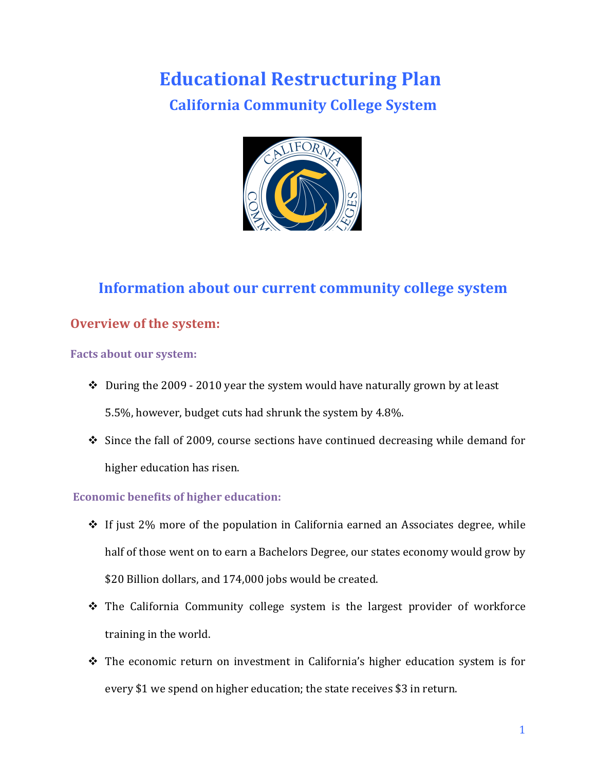# **Educational Restructuring Plan California Community College System**

# **Information about our current community college system**

# **Overview of the system:**

# **Facts about our system:**

- $\cdot$  During the 2009 2010 year the system would have naturally grown by at least 5.5%, however, budget cuts had shrunk the system by 4.8%.
- $\cdot$  Since the fall of 2009, course sections have continued decreasing while demand for higher education has risen.

# **Economic benefits of higher education:**

- $\cdot$  If just 2% more of the population in California earned an Associates degree, while half of those went on to earn a Bachelors Degree, our states economy would grow by \$20 Billion dollars, and 174,000 jobs would be created.
- $\cdot$  The California Community college system is the largest provider of workforce training in the world.
- $\cdot$  The economic return on investment in California's higher education system is for every \$1 we spend on higher education; the state receives \$3 in return.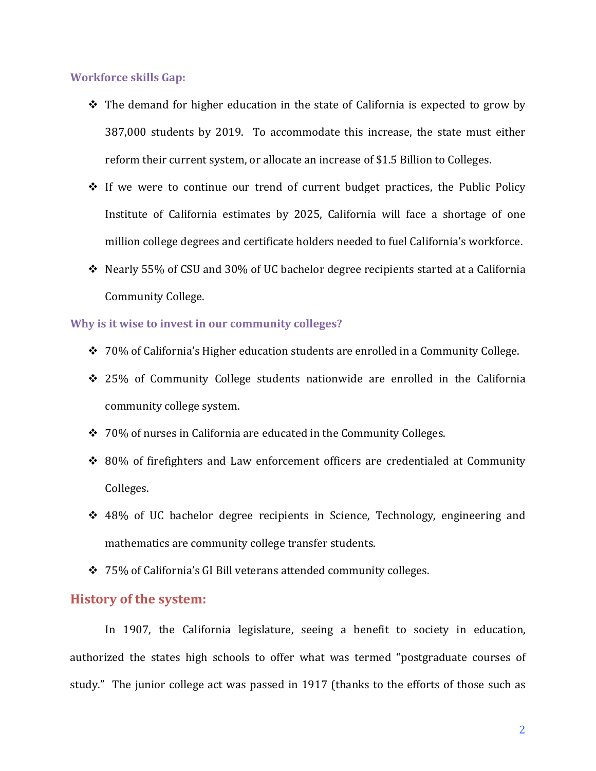## **Workforce skills Gap:**

- $\cdot$  The demand for higher education in the state of California is expected to grow by 387,000 students by 2019. To accommodate this increase, the state must either reform their current system, or allocate an increase of \$1.5 Billion to Colleges.
- $\cdot$  If we were to continue our trend of current budget practices, the Public Policy Institute of California estimates by 2025, California will face a shortage of one million college degrees and certificate holders needed to fuel California's workforce.
- $\cdot$  Nearly 55% of CSU and 30% of UC bachelor degree recipients started at a California Community College.

# **Why is it wise to invest in our community colleges?**

- $\div$  70% of California's Higher education students are enrolled in a Community College.
- $\div$  25% of Community College students nationwide are enrolled in the California community college system.
- $\div$  70% of nurses in California are educated in the Community Colleges.
- $\div$  80% of firefighters and Law enforcement officers are credentialed at Community Colleges.
- $\div$  48% of UC bachelor degree recipients in Science, Technology, engineering and mathematics are community college transfer students.
- $\cdot$  75% of California's GI Bill veterans attended community colleges.

# **History of the system:**

In 1907, the California legislature, seeing a benefit to society in education, authorized the states high schools to offer what was termed "postgraduate courses of study." The junior college act was passed in 1917 (thanks to the efforts of those such as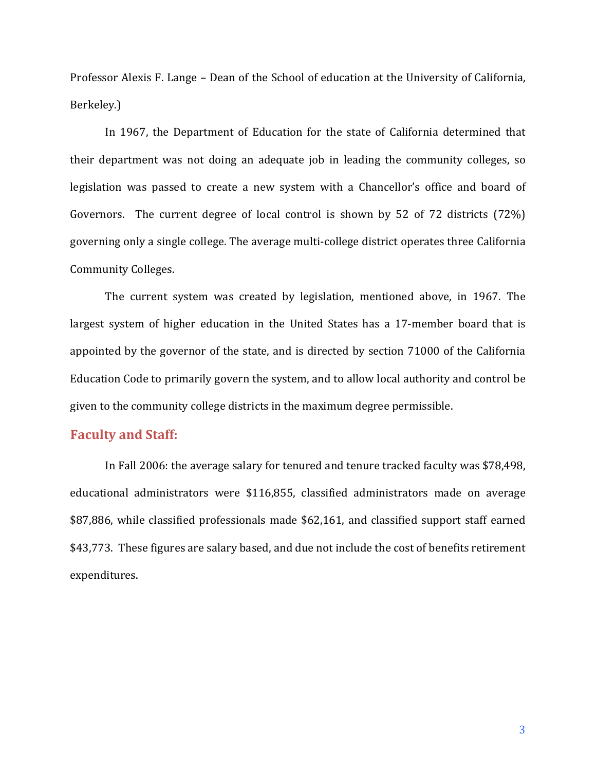Professor Alexis F. Lange – Dean of the School of education at the University of California, Berkeley.)

In 1967, the Department of Education for the state of California determined that their department was not doing an adequate job in leading the community colleges, so legislation was passed to create a new system with a Chancellor's office and board of Governors. The current degree of local control is shown by 52 of 72 districts  $(72%)$ governing only a single college. The average multi-college district operates three California Community Colleges.

The current system was created by legislation, mentioned above, in 1967. The largest system of higher education in the United States has a 17-member board that is appointed by the governor of the state, and is directed by section 71000 of the California Education Code to primarily govern the system, and to allow local authority and control be given to the community college districts in the maximum degree permissible.

# **Faculty and Staff:**

In Fall 2006: the average salary for tenured and tenure tracked faculty was \$78,498, educational administrators were \$116,855, classified administrators made on average \$87,886, while classified professionals made \$62,161, and classified support staff earned \$43,773. These figures are salary based, and due not include the cost of benefits retirement expenditures.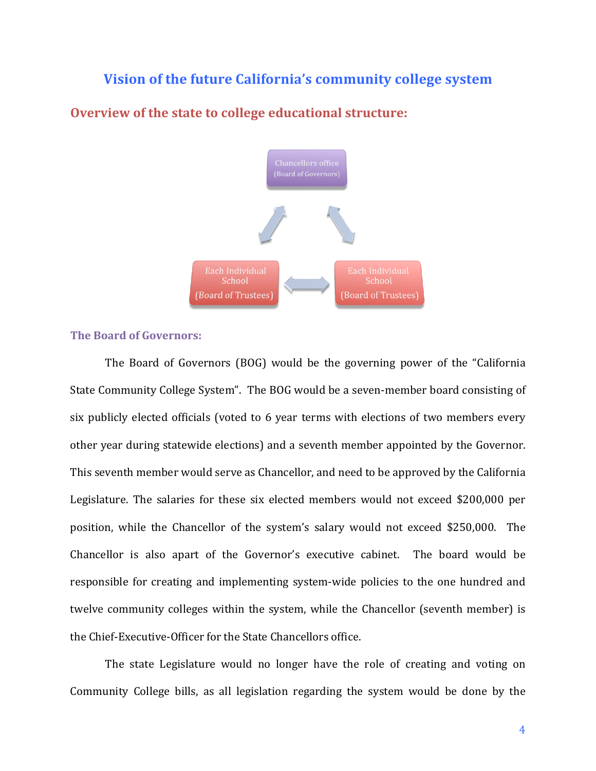# **Vision of the future California's community college system**



# **Overview of the state to college educational structure:**

## **The Board of Governors:**

The Board of Governors (BOG) would be the governing power of the "California State Community College System". The BOG would be a seven-member board consisting of six publicly elected officials (voted to 6 year terms with elections of two members every other year during statewide elections) and a seventh member appointed by the Governor. This seventh member would serve as Chancellor, and need to be approved by the California Legislature. The salaries for these six elected members would not exceed \$200,000 per position, while the Chancellor of the system's salary would not exceed \$250,000. The Chancellor is also apart of the Governor's executive cabinet. The board would be responsible for creating and implementing system-wide policies to the one hundred and twelve community colleges within the system, while the Chancellor (seventh member) is the Chief-Executive-Officer for the State Chancellors office.

The state Legislature would no longer have the role of creating and voting on Community College bills, as all legislation regarding the system would be done by the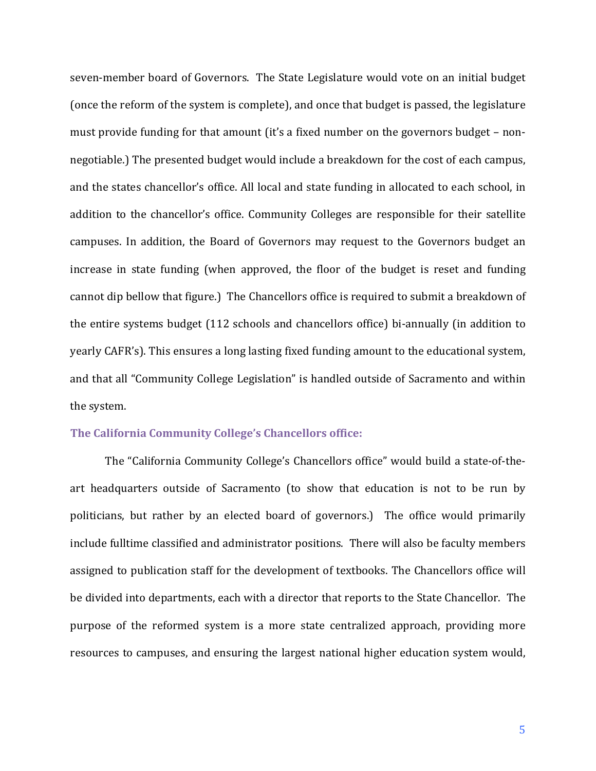seven-member board of Governors. The State Legislature would vote on an initial budget (once the reform of the system is complete), and once that budget is passed, the legislature must provide funding for that amount (it's a fixed number on the governors budget – nonnegotiable.) The presented budget would include a breakdown for the cost of each campus, and the states chancellor's office. All local and state funding in allocated to each school, in addition to the chancellor's office. Community Colleges are responsible for their satellite campuses. In addition, the Board of Governors may request to the Governors budget an increase in state funding (when approved, the floor of the budget is reset and funding cannot dip bellow that figure.) The Chancellors office is required to submit a breakdown of the entire systems budget (112 schools and chancellors office) bi-annually (in addition to yearly CAFR's). This ensures a long lasting fixed funding amount to the educational system, and that all "Community College Legislation" is handled outside of Sacramento and within the system.

# **The California Community College's Chancellors office:**

The "California Community College's Chancellors office" would build a state-of-theart headquarters outside of Sacramento (to show that education is not to be run by politicians, but rather by an elected board of governors.) The office would primarily include fulltime classified and administrator positions. There will also be faculty members assigned to publication staff for the development of textbooks. The Chancellors office will be divided into departments, each with a director that reports to the State Chancellor. The purpose of the reformed system is a more state centralized approach, providing more resources to campuses, and ensuring the largest national higher education system would,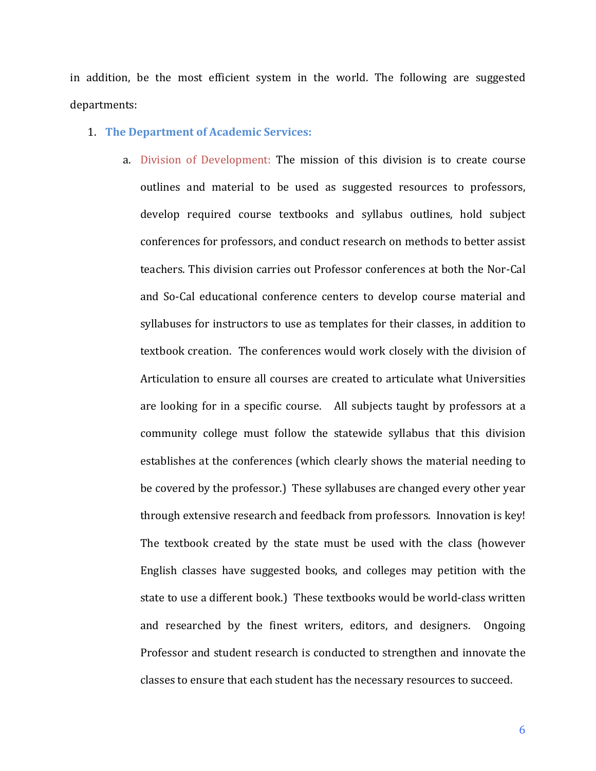in addition, be the most efficient system in the world. The following are suggested departments:

#### 1. **The Department of Academic Services:**

a. Division of Development: The mission of this division is to create course outlines and material to be used as suggested resources to professors, develop required course textbooks and syllabus outlines, hold subject conferences for professors, and conduct research on methods to better assist teachers. This division carries out Professor conferences at both the Nor-Cal and So-Cal educational conference centers to develop course material and syllabuses for instructors to use as templates for their classes, in addition to textbook creation. The conferences would work closely with the division of Articulation to ensure all courses are created to articulate what Universities are looking for in a specific course. All subjects taught by professors at a community college must follow the statewide syllabus that this division establishes at the conferences (which clearly shows the material needing to be covered by the professor.) These syllabuses are changed every other year through extensive research and feedback from professors. Innovation is key! The textbook created by the state must be used with the class (however English classes have suggested books, and colleges may petition with the state to use a different book.) These textbooks would be world-class written and researched by the finest writers, editors, and designers. Ongoing Professor and student research is conducted to strengthen and innovate the classes to ensure that each student has the necessary resources to succeed.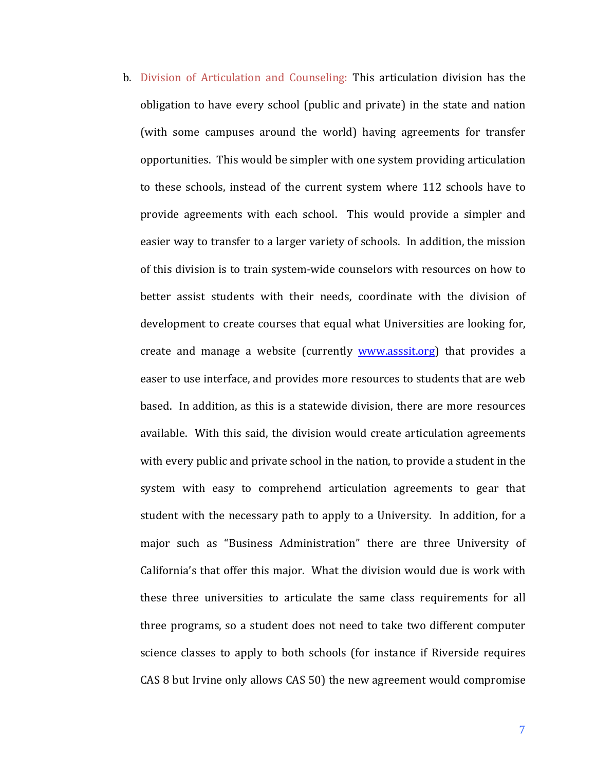b. Division of Articulation and Counseling: This articulation division has the obligation to have every school (public and private) in the state and nation (with some campuses around the world) having agreements for transfer opportunities. This would be simpler with one system providing articulation to these schools, instead of the current system where 112 schools have to provide agreements with each school. This would provide a simpler and easier way to transfer to a larger variety of schools. In addition, the mission of this division is to train system-wide counselors with resources on how to better assist students with their needs, coordinate with the division of development to create courses that equal what Universities are looking for, create and manage a website (currently www.asssit.org) that provides a easer to use interface, and provides more resources to students that are web based. In addition, as this is a statewide division, there are more resources available. With this said, the division would create articulation agreements with every public and private school in the nation, to provide a student in the system with easy to comprehend articulation agreements to gear that student with the necessary path to apply to a University. In addition, for a major such as "Business Administration" there are three University of California's that offer this major. What the division would due is work with these three universities to articulate the same class requirements for all three programs, so a student does not need to take two different computer science classes to apply to both schools (for instance if Riverside requires CAS 8 but Irvine only allows CAS 50) the new agreement would compromise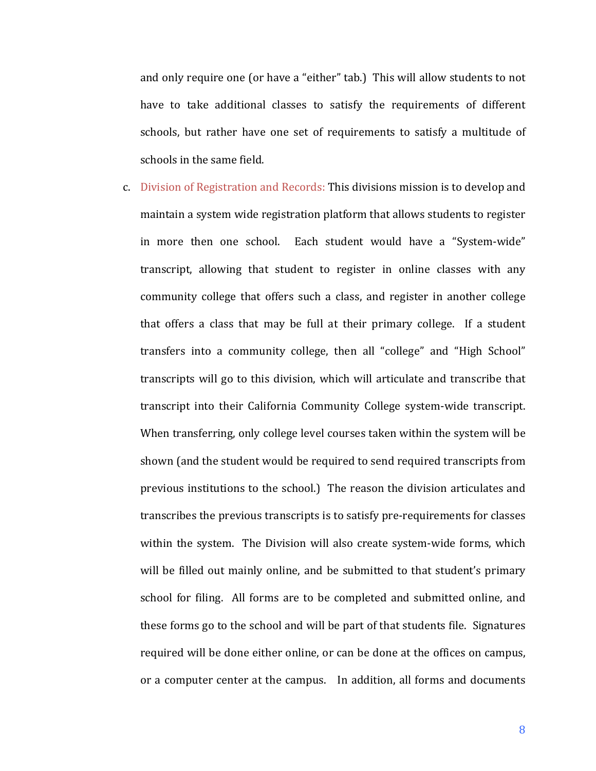and only require one (or have a "either" tab.) This will allow students to not have to take additional classes to satisfy the requirements of different schools, but rather have one set of requirements to satisfy a multitude of schools in the same field.

c. Division of Registration and Records: This divisions mission is to develop and maintain a system wide registration platform that allows students to register in more then one school. Each student would have a "System-wide" transcript, allowing that student to register in online classes with any community college that offers such a class, and register in another college that offers a class that may be full at their primary college. If a student transfers into a community college, then all "college" and "High School" transcripts will go to this division, which will articulate and transcribe that transcript into their California Community College system-wide transcript. When transferring, only college level courses taken within the system will be shown (and the student would be required to send required transcripts from previous institutions to the school.) The reason the division articulates and transcribes the previous transcripts is to satisfy pre-requirements for classes within the system. The Division will also create system-wide forms, which will be filled out mainly online, and be submitted to that student's primary school for filing. All forms are to be completed and submitted online, and these forms go to the school and will be part of that students file. Signatures required will be done either online, or can be done at the offices on campus, or a computer center at the campus. In addition, all forms and documents

8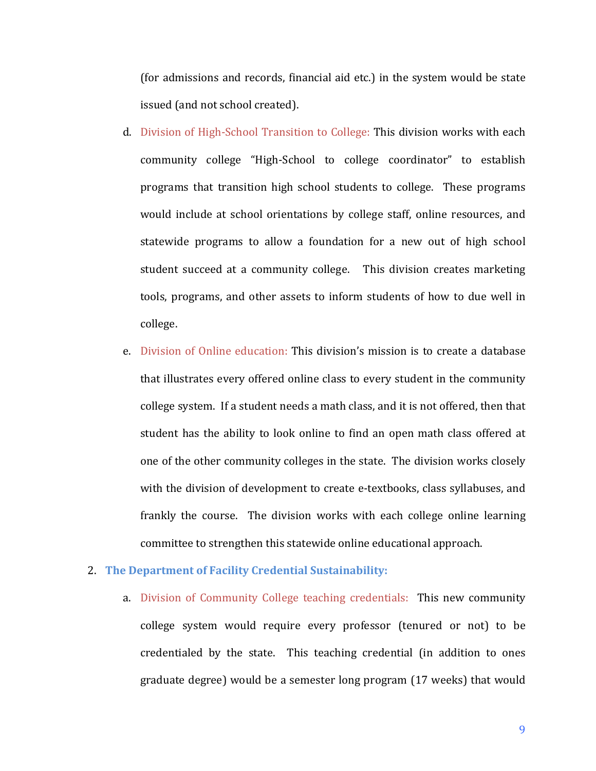(for admissions and records, financial aid etc.) in the system would be state issued (and not school created).

- d. Division of High-School Transition to College: This division works with each community college "High-School to college coordinator" to establish programs that transition high school students to college. These programs would include at school orientations by college staff, online resources, and statewide programs to allow a foundation for a new out of high school student succeed at a community college. This division creates marketing tools, programs, and other assets to inform students of how to due well in college.
- e. Division of Online education: This division's mission is to create a database that illustrates every offered online class to every student in the community college system. If a student needs a math class, and it is not offered, then that student has the ability to look online to find an open math class offered at one of the other community colleges in the state. The division works closely with the division of development to create e-textbooks, class syllabuses, and frankly the course. The division works with each college online learning committee to strengthen this statewide online educational approach.
- **2. The Department of Facility Credential Sustainability:** 
	- a. Division of Community College teaching credentials: This new community college system would require every professor (tenured or not) to be credentialed by the state. This teaching credential (in addition to ones graduate degree) would be a semester long program (17 weeks) that would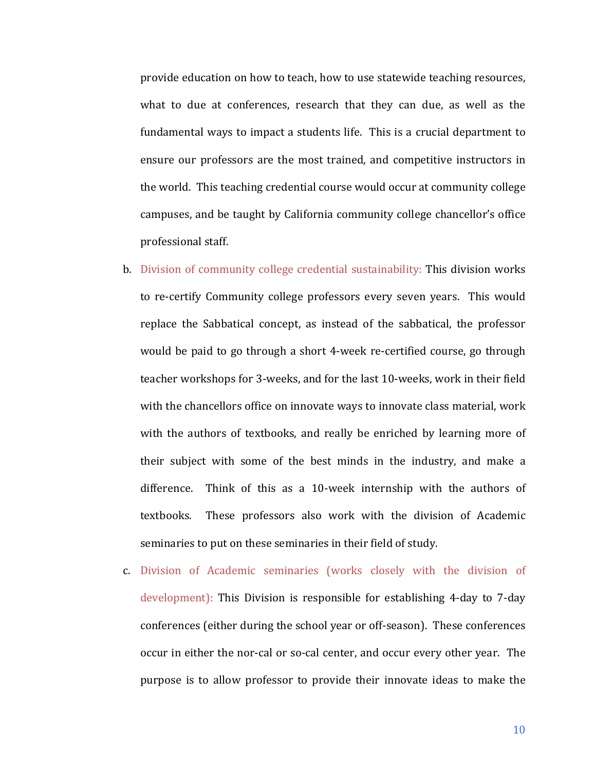provide education on how to teach, how to use statewide teaching resources, what to due at conferences, research that they can due, as well as the fundamental ways to impact a students life. This is a crucial department to ensure our professors are the most trained, and competitive instructors in the world. This teaching credential course would occur at community college campuses, and be taught by California community college chancellor's office professional staff.

- b. Division of community college credential sustainability: This division works to re-certify Community college professors every seven years. This would replace the Sabbatical concept, as instead of the sabbatical, the professor would be paid to go through a short 4-week re-certified course, go through teacher workshops for 3-weeks, and for the last 10-weeks, work in their field with the chancellors office on innovate ways to innovate class material, work with the authors of textbooks, and really be enriched by learning more of their subject with some of the best minds in the industry, and make a difference. Think of this as a 10-week internship with the authors of textbooks. These professors also work with the division of Academic seminaries to put on these seminaries in their field of study.
- c. Division of Academic seminaries (works closely with the division of development): This Division is responsible for establishing 4-day to 7-day conferences (either during the school year or off-season). These conferences occur in either the nor-cal or so-cal center, and occur every other year. The purpose is to allow professor to provide their innovate ideas to make the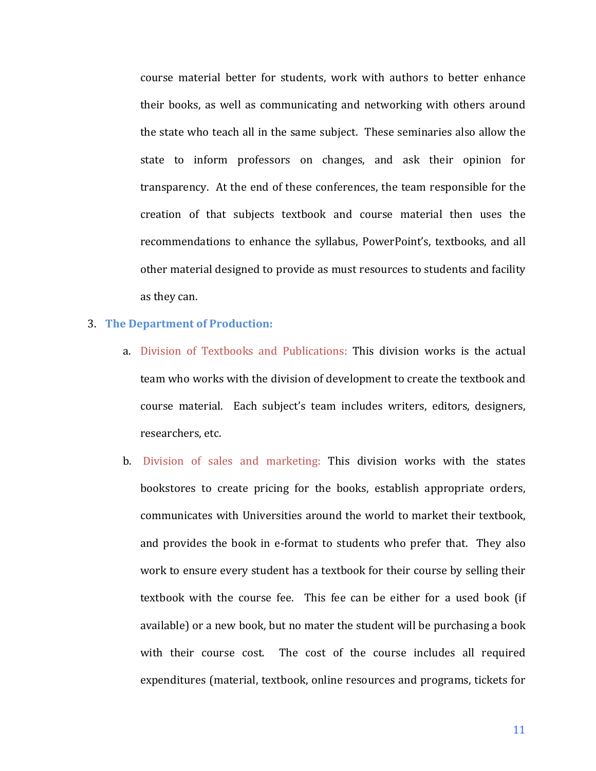course material better for students, work with authors to better enhance their books, as well as communicating and networking with others around the state who teach all in the same subject. These seminaries also allow the state to inform professors on changes, and ask their opinion for transparency. At the end of these conferences, the team responsible for the creation of that subjects textbook and course material then uses the recommendations to enhance the syllabus, PowerPoint's, textbooks, and all other material designed to provide as must resources to students and facility as they can. 

#### **3. The Department of Production:**

- a. Division of Textbooks and Publications: This division works is the actual team who works with the division of development to create the textbook and course material. Each subject's team includes writers, editors, designers, researchers, etc.
- b. Division of sales and marketing: This division works with the states bookstores to create pricing for the books, establish appropriate orders, communicates with Universities around the world to market their textbook, and provides the book in e-format to students who prefer that. They also work to ensure every student has a textbook for their course by selling their textbook with the course fee. This fee can be either for a used book (if available) or a new book, but no mater the student will be purchasing a book with their course cost. The cost of the course includes all required expenditures (material, textbook, online resources and programs, tickets for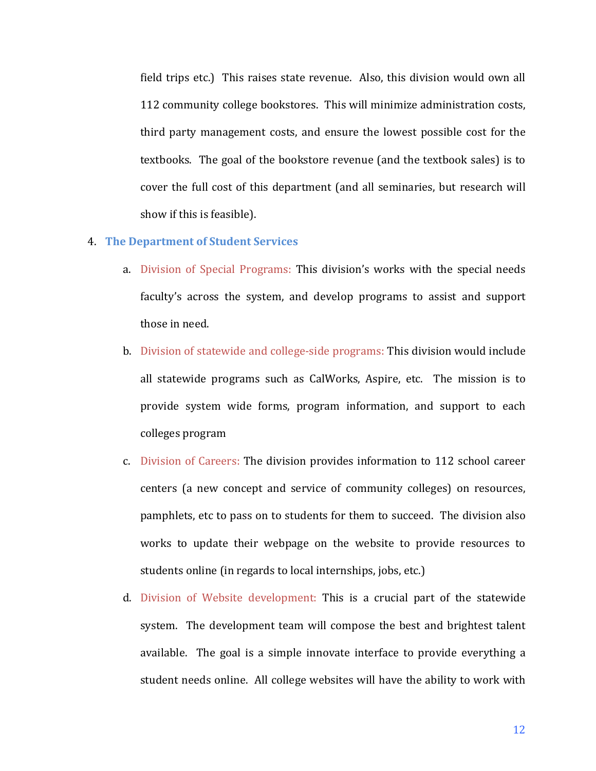field trips etc.) This raises state revenue. Also, this division would own all 112 community college bookstores. This will minimize administration costs, third party management costs, and ensure the lowest possible cost for the textbooks. The goal of the bookstore revenue (and the textbook sales) is to cover the full cost of this department (and all seminaries, but research will show if this is feasible).

## **4. The Department of Student Services**

- a. Division of Special Programs: This division's works with the special needs faculty's across the system, and develop programs to assist and support those in need.
- b. Division of statewide and college-side programs: This division would include all statewide programs such as CalWorks, Aspire, etc. The mission is to provide system wide forms, program information, and support to each colleges program
- c. Division of Careers: The division provides information to 112 school career centers (a new concept and service of community colleges) on resources, pamphlets, etc to pass on to students for them to succeed. The division also works to update their webpage on the website to provide resources to students online (in regards to local internships, jobs, etc.)
- d. Division of Website development: This is a crucial part of the statewide system. The development team will compose the best and brightest talent available. The goal is a simple innovate interface to provide everything a student needs online. All college websites will have the ability to work with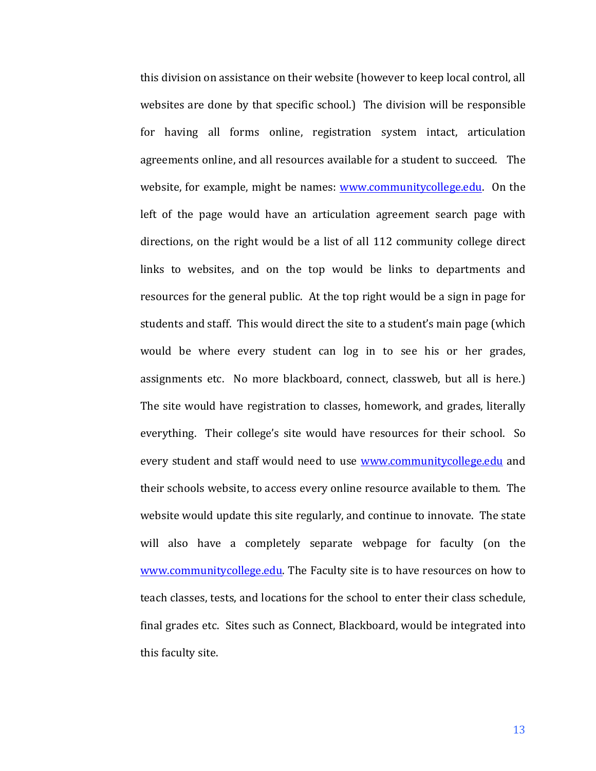this division on assistance on their website (however to keep local control, all websites are done by that specific school.) The division will be responsible for having all forms online, registration system intact, articulation agreements online, and all resources available for a student to succeed. The website, for example, might be names: www.communitycollege.edu. On the left of the page would have an articulation agreement search page with directions, on the right would be a list of all  $112$  community college direct links to websites, and on the top would be links to departments and resources for the general public. At the top right would be a sign in page for students and staff. This would direct the site to a student's main page (which would be where every student can log in to see his or her grades, assignments etc. No more blackboard, connect, classweb, but all is here.) The site would have registration to classes, homework, and grades, literally everything. Their college's site would have resources for their school. So every student and staff would need to use www.communitycollege.edu and their schools website, to access every online resource available to them. The website would update this site regularly, and continue to innovate. The state will also have a completely separate webpage for faculty (on the www.communitycollege.edu. The Faculty site is to have resources on how to teach classes, tests, and locations for the school to enter their class schedule, final grades etc. Sites such as Connect, Blackboard, would be integrated into this faculty site.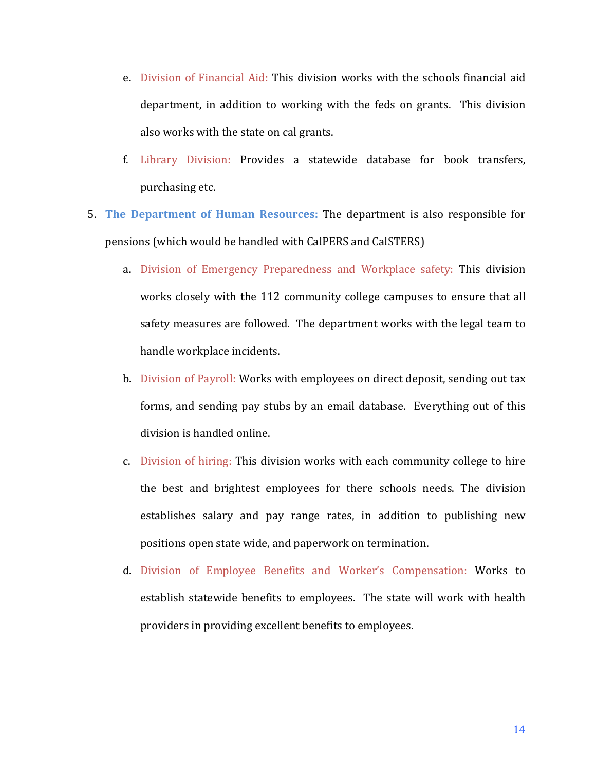- e. Division of Financial Aid: This division works with the schools financial aid department, in addition to working with the feds on grants. This division also works with the state on cal grants.
- f. Library Division: Provides a statewide database for book transfers, purchasing etc.
- 5. **The Department of Human Resources:** The department is also responsible for pensions (which would be handled with CalPERS and CalSTERS)
	- a. Division of Emergency Preparedness and Workplace safety: This division works closely with the 112 community college campuses to ensure that all safety measures are followed. The department works with the legal team to handle workplace incidents.
	- b. Division of Payroll: Works with employees on direct deposit, sending out tax forms, and sending pay stubs by an email database. Everything out of this division is handled online.
	- c. Division of hiring: This division works with each community college to hire the best and brightest employees for there schools needs. The division establishes salary and pay range rates, in addition to publishing new positions open state wide, and paperwork on termination.
	- d. Division of Employee Benefits and Worker's Compensation: Works to establish statewide benefits to employees. The state will work with health providers in providing excellent benefits to employees.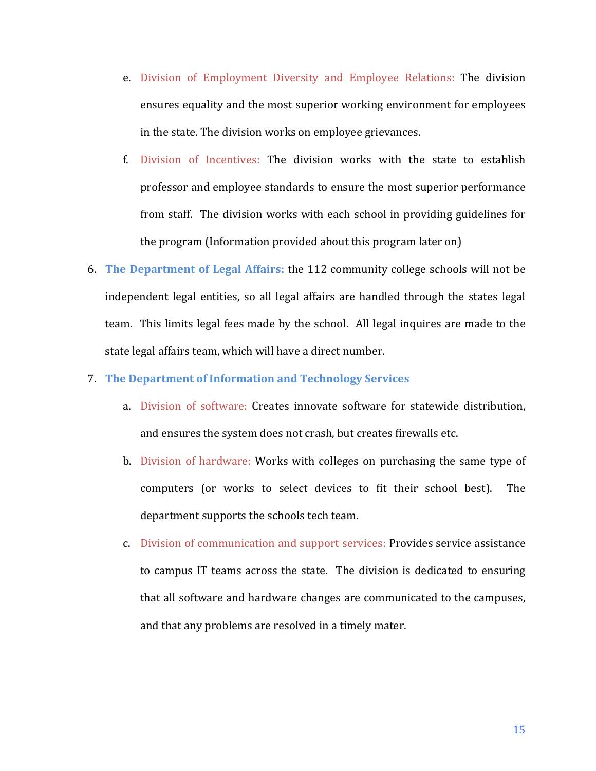- e. Division of Employment Diversity and Employee Relations: The division ensures equality and the most superior working environment for employees in the state. The division works on employee grievances.
- f. Division of Incentives: The division works with the state to establish professor and employee standards to ensure the most superior performance from staff. The division works with each school in providing guidelines for the program (Information provided about this program later on)
- 6. **The Department of Legal Affairs:** the 112 community college schools will not be independent legal entities, so all legal affairs are handled through the states legal team. This limits legal fees made by the school. All legal inquires are made to the state legal affairs team, which will have a direct number.
- 7. The Department of Information and Technology Services
	- a. Division of software: Creates innovate software for statewide distribution, and ensures the system does not crash, but creates firewalls etc.
	- b. Division of hardware: Works with colleges on purchasing the same type of computers (or works to select devices to fit their school best). The department supports the schools tech team.
	- c. Division of communication and support services: Provides service assistance to campus IT teams across the state. The division is dedicated to ensuring that all software and hardware changes are communicated to the campuses, and that any problems are resolved in a timely mater.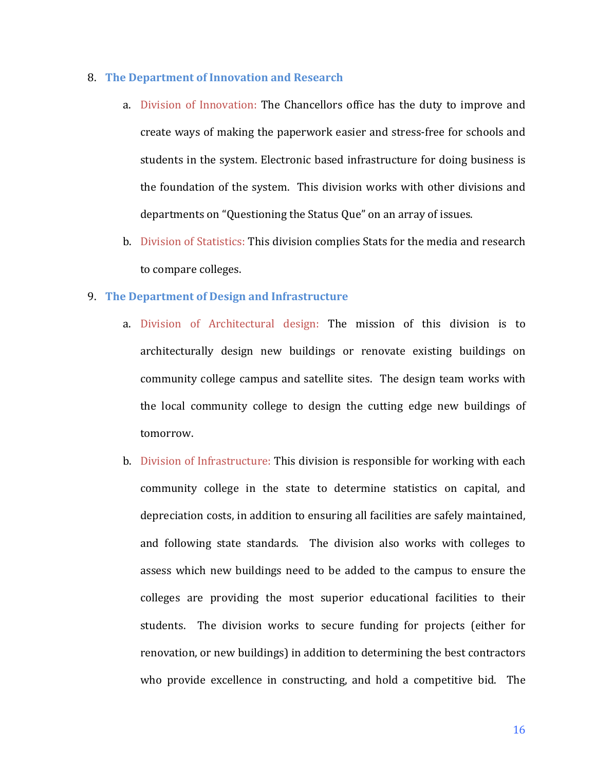#### **8. The Department of Innovation and Research**

- a. Division of Innovation: The Chancellors office has the duty to improve and create ways of making the paperwork easier and stress-free for schools and students in the system. Electronic based infrastructure for doing business is the foundation of the system. This division works with other divisions and departments on "Questioning the Status Que" on an array of issues.
- b. Division of Statistics: This division complies Stats for the media and research to compare colleges.

# **9. The Department of Design and Infrastructure**

- a. Division of Architectural design: The mission of this division is to architecturally design new buildings or renovate existing buildings on community college campus and satellite sites. The design team works with the local community college to design the cutting edge new buildings of tomorrow.
- b. Division of Infrastructure: This division is responsible for working with each community college in the state to determine statistics on capital, and depreciation costs, in addition to ensuring all facilities are safely maintained, and following state standards. The division also works with colleges to assess which new buildings need to be added to the campus to ensure the colleges are providing the most superior educational facilities to their students. The division works to secure funding for projects (either for renovation, or new buildings) in addition to determining the best contractors who provide excellence in constructing, and hold a competitive bid. The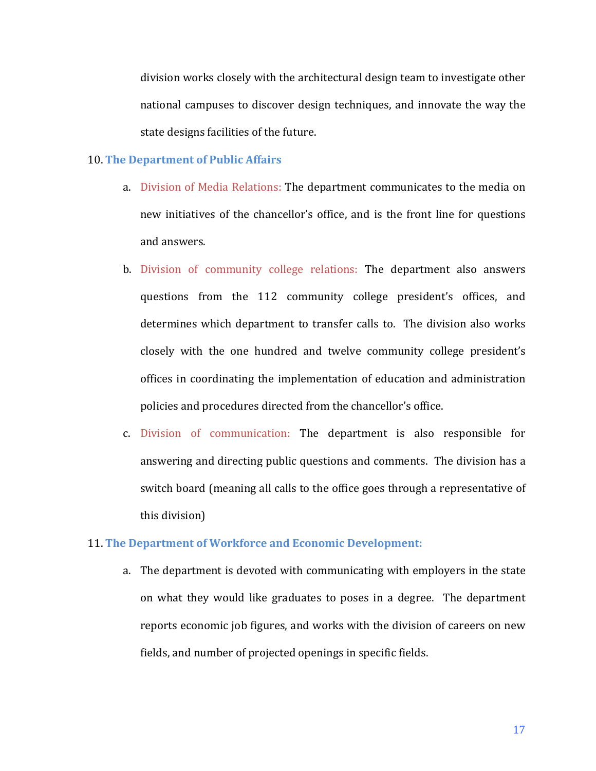division works closely with the architectural design team to investigate other national campuses to discover design techniques, and innovate the way the state designs facilities of the future.

#### **10. The Department of Public Affairs**

- a. Division of Media Relations: The department communicates to the media on new initiatives of the chancellor's office, and is the front line for questions and answers.
- b. Division of community college relations: The department also answers questions from the 112 community college president's offices, and determines which department to transfer calls to. The division also works closely with the one hundred and twelve community college president's offices in coordinating the implementation of education and administration policies and procedures directed from the chancellor's office.
- c. Division of communication: The department is also responsible for answering and directing public questions and comments. The division has a switch board (meaning all calls to the office goes through a representative of this division)

#### **11. The Department of Workforce and Economic Development:**

a. The department is devoted with communicating with employers in the state on what they would like graduates to poses in a degree. The department reports economic job figures, and works with the division of careers on new fields, and number of projected openings in specific fields.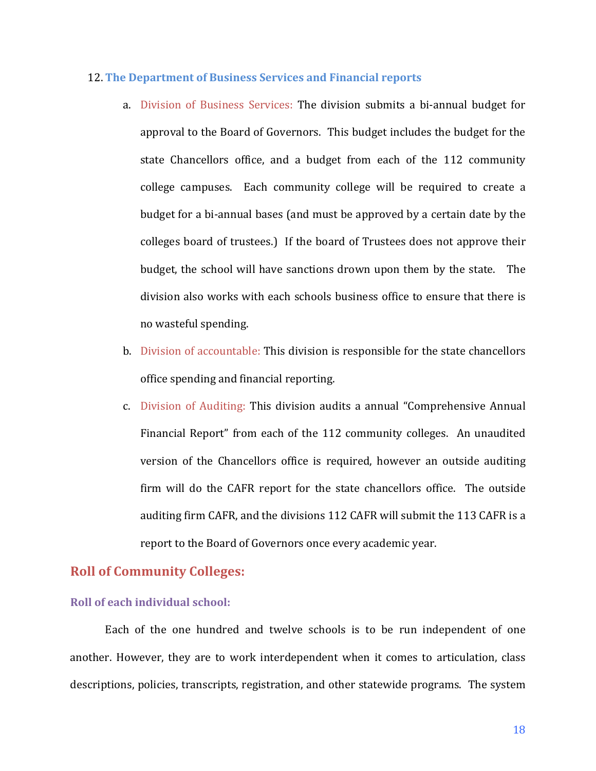#### 12. **The Department of Business Services and Financial reports**

- a. Division of Business Services: The division submits a bi-annual budget for approval to the Board of Governors. This budget includes the budget for the state Chancellors office, and a budget from each of the 112 community college campuses. Each community college will be required to create a budget for a bi-annual bases (and must be approved by a certain date by the colleges board of trustees.) If the board of Trustees does not approve their budget, the school will have sanctions drown upon them by the state. The division also works with each schools business office to ensure that there is no wasteful spending.
- b. Division of accountable: This division is responsible for the state chancellors office spending and financial reporting.
- c. Division of Auditing: This division audits a annual "Comprehensive Annual" Financial Report" from each of the 112 community colleges. An unaudited version of the Chancellors office is required, however an outside auditing firm will do the CAFR report for the state chancellors office. The outside auditing firm CAFR, and the divisions 112 CAFR will submit the 113 CAFR is a report to the Board of Governors once every academic year.

# **Roll of Community Colleges:**

## **Roll of each individual school:**

Each of the one hundred and twelve schools is to be run independent of one another. However, they are to work interdependent when it comes to articulation, class descriptions, policies, transcripts, registration, and other statewide programs. The system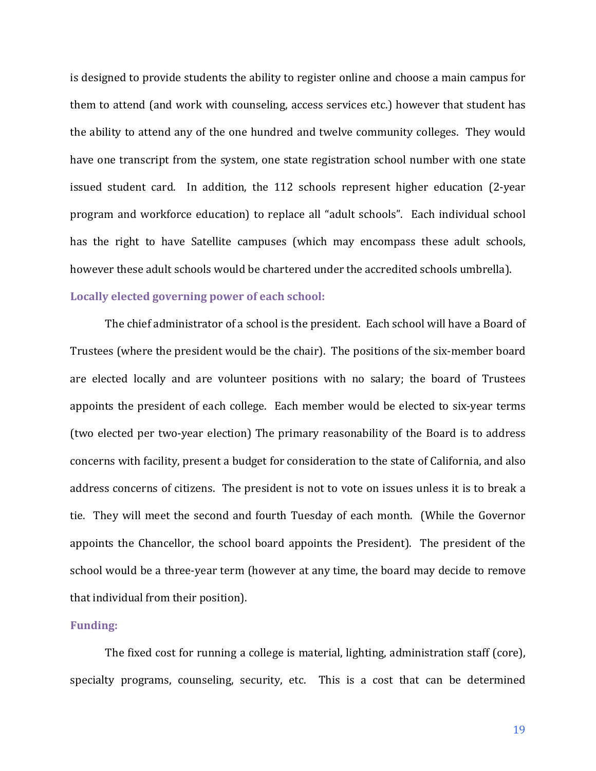is designed to provide students the ability to register online and choose a main campus for them to attend (and work with counseling, access services etc.) however that student has the ability to attend any of the one hundred and twelve community colleges. They would have one transcript from the system, one state registration school number with one state issued student card. In addition, the 112 schools represent higher education (2-year program and workforce education) to replace all "adult schools". Each individual school has the right to have Satellite campuses (which may encompass these adult schools, however these adult schools would be chartered under the accredited schools umbrella).

# Locally elected governing power of each school:

The chief administrator of a school is the president. Each school will have a Board of Trustees (where the president would be the chair). The positions of the six-member board are elected locally and are volunteer positions with no salary; the board of Trustees appoints the president of each college. Each member would be elected to six-year terms (two elected per two-year election) The primary reasonability of the Board is to address concerns with facility, present a budget for consideration to the state of California, and also address concerns of citizens. The president is not to vote on issues unless it is to break a tie. They will meet the second and fourth Tuesday of each month. (While the Governor appoints the Chancellor, the school board appoints the President). The president of the school would be a three-year term (however at any time, the board may decide to remove that individual from their position).

#### **Funding:**

The fixed cost for running a college is material, lighting, administration staff (core), specialty programs, counseling, security, etc. This is a cost that can be determined

19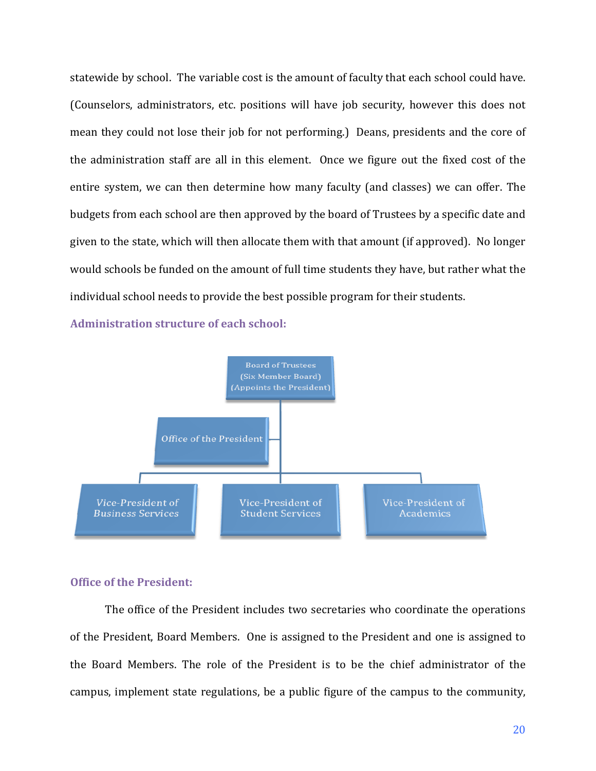statewide by school. The variable cost is the amount of faculty that each school could have. (Counselors, administrators, etc. positions will have job security, however this does not mean they could not lose their job for not performing.) Deans, presidents and the core of the administration staff are all in this element. Once we figure out the fixed cost of the entire system, we can then determine how many faculty (and classes) we can offer. The budgets from each school are then approved by the board of Trustees by a specific date and given to the state, which will then allocate them with that amount (if approved). No longer would schools be funded on the amount of full time students they have, but rather what the individual school needs to provide the best possible program for their students.

Administration structure of each school:



## **Office of the President:**

The office of the President includes two secretaries who coordinate the operations of the President, Board Members. One is assigned to the President and one is assigned to the Board Members. The role of the President is to be the chief administrator of the campus, implement state regulations, be a public figure of the campus to the community,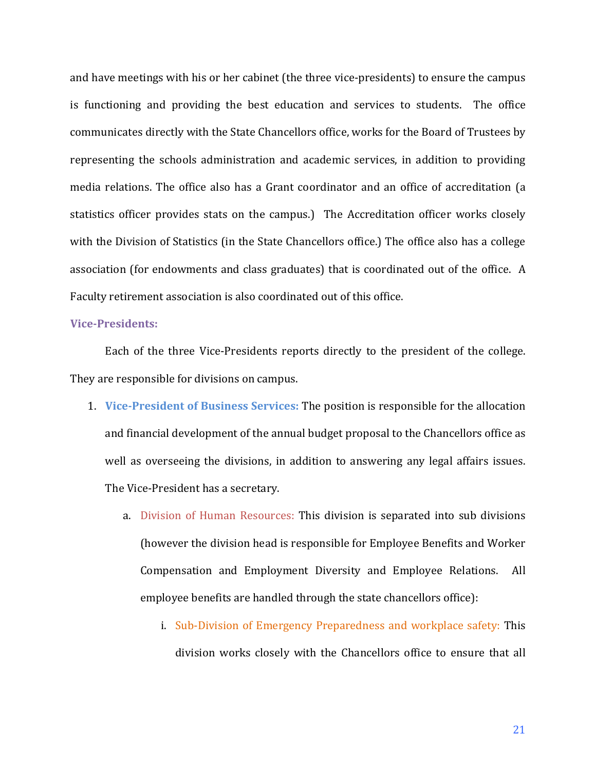and have meetings with his or her cabinet (the three vice-presidents) to ensure the campus is functioning and providing the best education and services to students. The office communicates directly with the State Chancellors office, works for the Board of Trustees by representing the schools administration and academic services, in addition to providing media relations. The office also has a Grant coordinator and an office of accreditation (a statistics officer provides stats on the campus.) The Accreditation officer works closely with the Division of Statistics (in the State Chancellors office.) The office also has a college association (for endowments and class graduates) that is coordinated out of the office. A Faculty retirement association is also coordinated out of this office.

#### **Vice-Presidents:**

Each of the three Vice-Presidents reports directly to the president of the college. They are responsible for divisions on campus.

- 1. Vice-President of Business Services: The position is responsible for the allocation and financial development of the annual budget proposal to the Chancellors office as well as overseeing the divisions, in addition to answering any legal affairs issues. The Vice-President has a secretary.
	- a. Division of Human Resources: This division is separated into sub divisions (however the division head is responsible for Employee Benefits and Worker Compensation and Employment Diversity and Employee Relations. All employee benefits are handled through the state chancellors office):
		- i. Sub-Division of Emergency Preparedness and workplace safety: This division works closely with the Chancellors office to ensure that all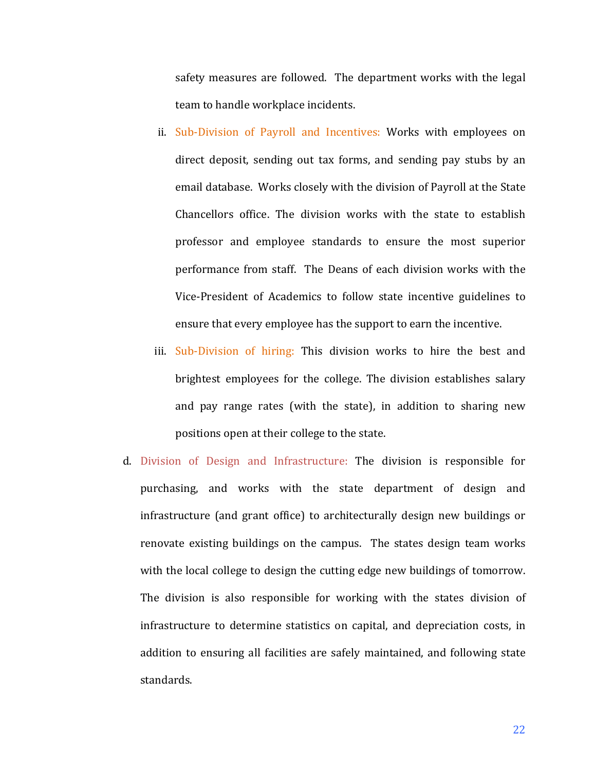safety measures are followed. The department works with the legal team to handle workplace incidents.

- ii. Sub-Division of Payroll and Incentives: Works with employees on direct deposit, sending out tax forms, and sending pay stubs by an email database. Works closely with the division of Payroll at the State Chancellors office. The division works with the state to establish professor and employee standards to ensure the most superior performance from staff. The Deans of each division works with the Vice-President of Academics to follow state incentive guidelines to ensure that every employee has the support to earn the incentive.
- iii. Sub-Division of hiring: This division works to hire the best and brightest employees for the college. The division establishes salary and pay range rates (with the state), in addition to sharing new positions open at their college to the state.
- d. Division of Design and Infrastructure: The division is responsible for purchasing, and works with the state department of design and infrastructure (and grant office) to architecturally design new buildings or renovate existing buildings on the campus. The states design team works with the local college to design the cutting edge new buildings of tomorrow. The division is also responsible for working with the states division of infrastructure to determine statistics on capital, and depreciation costs, in addition to ensuring all facilities are safely maintained, and following state standards.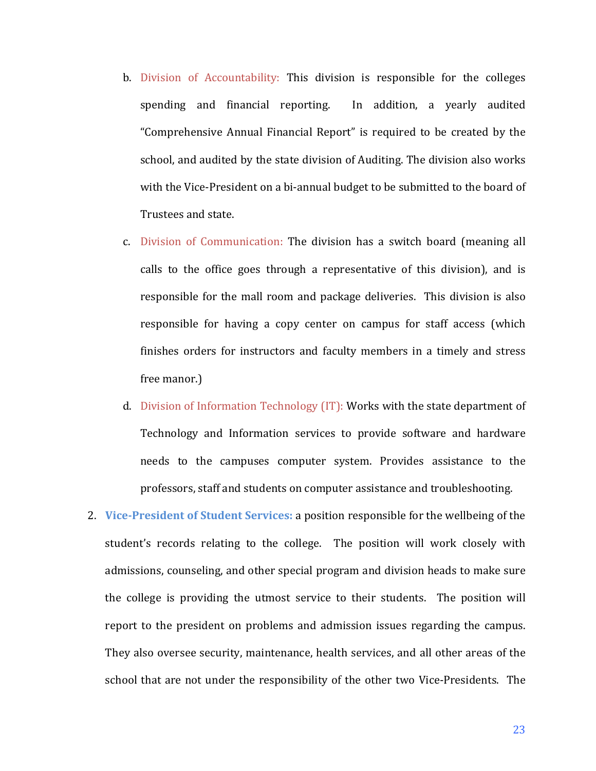- b. Division of Accountability: This division is responsible for the colleges spending and financial reporting. In addition, a vearly audited "Comprehensive Annual Financial Report" is required to be created by the school, and audited by the state division of Auditing. The division also works with the Vice-President on a bi-annual budget to be submitted to the board of Trustees and state.
- c. Division of Communication: The division has a switch board (meaning all calls to the office goes through a representative of this division), and is responsible for the mall room and package deliveries. This division is also responsible for having a copy center on campus for staff access (which finishes orders for instructors and faculty members in a timely and stress free manor.)
- d. Division of Information Technology  $(IT)$ : Works with the state department of Technology and Information services to provide software and hardware needs to the campuses computer system. Provides assistance to the professors, staff and students on computer assistance and troubleshooting.
- 2. **Vice-President of Student Services:** a position responsible for the wellbeing of the student's records relating to the college. The position will work closely with admissions, counseling, and other special program and division heads to make sure the college is providing the utmost service to their students. The position will report to the president on problems and admission issues regarding the campus. They also oversee security, maintenance, health services, and all other areas of the school that are not under the responsibility of the other two Vice-Presidents. The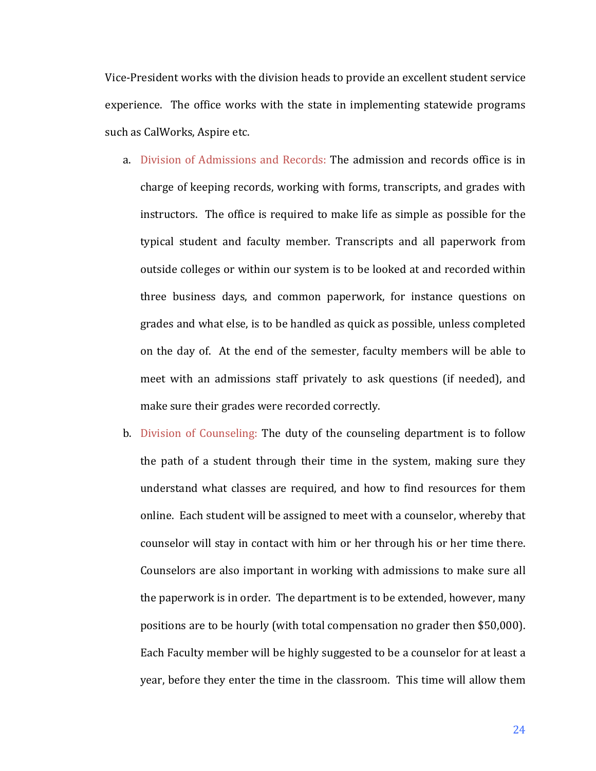Vice-President works with the division heads to provide an excellent student service experience. The office works with the state in implementing statewide programs such as CalWorks, Aspire etc.

- a. Division of Admissions and Records: The admission and records office is in charge of keeping records, working with forms, transcripts, and grades with instructors. The office is required to make life as simple as possible for the typical student and faculty member. Transcripts and all paperwork from outside colleges or within our system is to be looked at and recorded within three business days, and common paperwork, for instance questions on grades and what else, is to be handled as quick as possible, unless completed on the day of. At the end of the semester, faculty members will be able to meet with an admissions staff privately to ask questions (if needed), and make sure their grades were recorded correctly.
- b. Division of Counseling: The duty of the counseling department is to follow the path of a student through their time in the system, making sure they understand what classes are required, and how to find resources for them online. Each student will be assigned to meet with a counselor, whereby that counselor will stay in contact with him or her through his or her time there. Counselors are also important in working with admissions to make sure all the paperwork is in order. The department is to be extended, however, many positions are to be hourly (with total compensation no grader then \$50,000). Each Faculty member will be highly suggested to be a counselor for at least a year, before they enter the time in the classroom. This time will allow them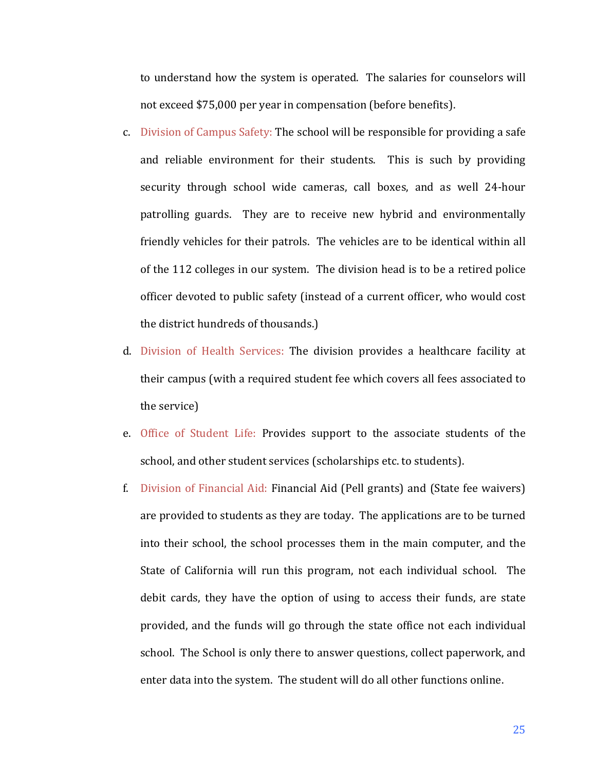to understand how the system is operated. The salaries for counselors will not exceed \$75,000 per year in compensation (before benefits).

- c. Division of Campus Safety: The school will be responsible for providing a safe and reliable environment for their students. This is such by providing security through school wide cameras, call boxes, and as well 24-hour patrolling guards. They are to receive new hybrid and environmentally friendly vehicles for their patrols. The vehicles are to be identical within all of the 112 colleges in our system. The division head is to be a retired police officer devoted to public safety (instead of a current officer, who would cost the district hundreds of thousands.)
- d. Division of Health Services: The division provides a healthcare facility at their campus (with a required student fee which covers all fees associated to the service)
- e. Office of Student Life: Provides support to the associate students of the school, and other student services (scholarships etc. to students).
- f. Division of Financial Aid: Financial Aid (Pell grants) and (State fee waivers) are provided to students as they are today. The applications are to be turned into their school, the school processes them in the main computer, and the State of California will run this program, not each individual school. The debit cards, they have the option of using to access their funds, are state provided, and the funds will go through the state office not each individual school. The School is only there to answer questions, collect paperwork, and enter data into the system. The student will do all other functions online.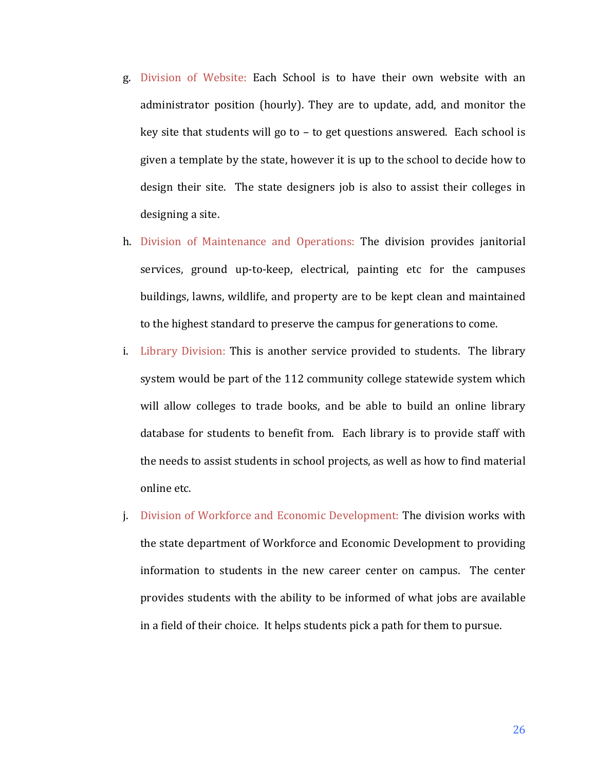- g. Division of Website: Each School is to have their own website with an administrator position (hourly). They are to update, add, and monitor the key site that students will go to  $-$  to get questions answered. Each school is given a template by the state, however it is up to the school to decide how to design their site. The state designers job is also to assist their colleges in designing a site.
- h. Division of Maintenance and Operations: The division provides janitorial services, ground up-to-keep, electrical, painting etc for the campuses buildings, lawns, wildlife, and property are to be kept clean and maintained to the highest standard to preserve the campus for generations to come.
- i. Library Division: This is another service provided to students. The library system would be part of the 112 community college statewide system which will allow colleges to trade books, and be able to build an online library database for students to benefit from. Each library is to provide staff with the needs to assist students in school projects, as well as how to find material online etc.
- j. Division of Workforce and Economic Development: The division works with the state department of Workforce and Economic Development to providing information to students in the new career center on campus. The center provides students with the ability to be informed of what jobs are available in a field of their choice. It helps students pick a path for them to pursue.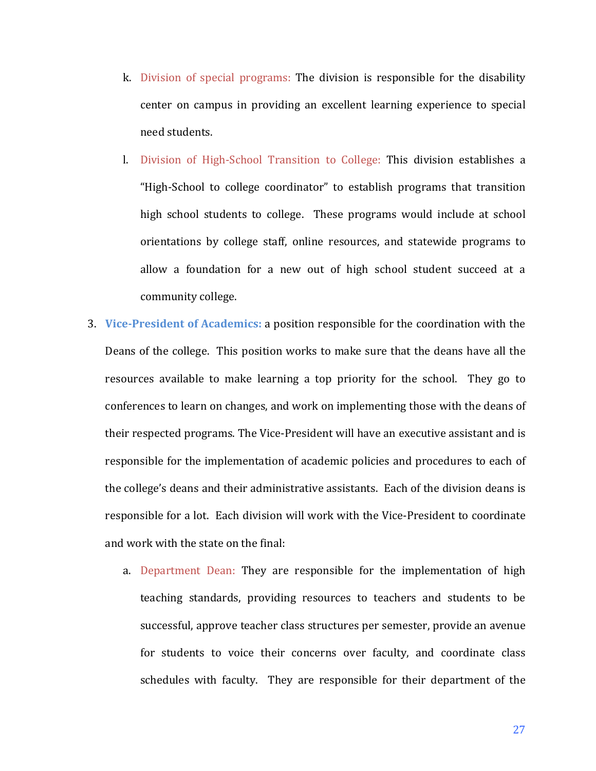- k. Division of special programs: The division is responsible for the disability center on campus in providing an excellent learning experience to special need students.
- l. Division of High-School Transition to College: This division establishes a "High-School to college coordinator" to establish programs that transition high school students to college. These programs would include at school orientations by college staff, online resources, and statewide programs to allow a foundation for a new out of high school student succeed at a community college.
- **3.** Vice-President of Academics: a position responsible for the coordination with the Deans of the college. This position works to make sure that the deans have all the resources available to make learning a top priority for the school. They go to conferences to learn on changes, and work on implementing those with the deans of their respected programs. The Vice-President will have an executive assistant and is responsible for the implementation of academic policies and procedures to each of the college's deans and their administrative assistants. Each of the division deans is responsible for a lot. Each division will work with the Vice-President to coordinate and work with the state on the final:
	- a. Department Dean: They are responsible for the implementation of high teaching standards, providing resources to teachers and students to be successful, approve teacher class structures per semester, provide an avenue for students to voice their concerns over faculty, and coordinate class schedules with faculty. They are responsible for their department of the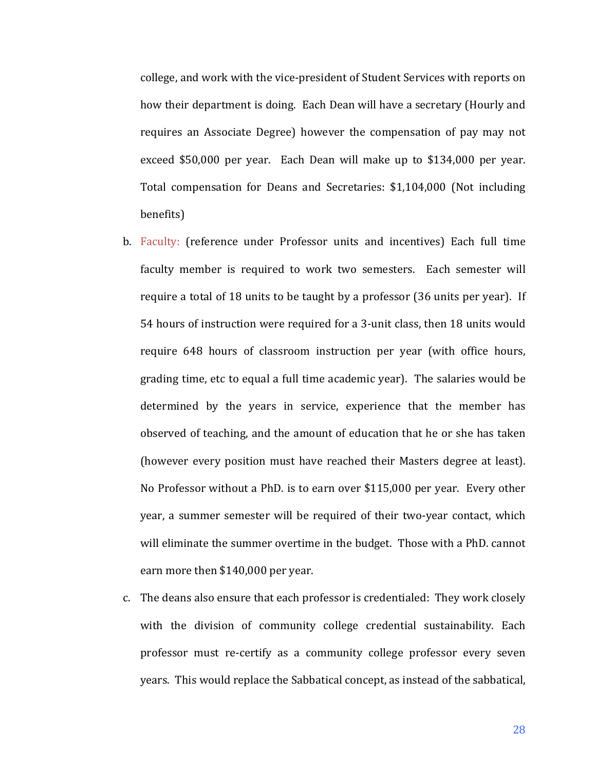college, and work with the vice-president of Student Services with reports on how their department is doing. Each Dean will have a secretary (Hourly and requires an Associate Degree) however the compensation of pay may not exceed  $$50,000$  per year. Each Dean will make up to  $$134,000$  per year. Total compensation for Deans and Secretaries: \$1,104,000 (Not including benefits)

- b. Faculty: (reference under Professor units and incentives) Each full time faculty member is required to work two semesters. Each semester will require a total of 18 units to be taught by a professor (36 units per year). If 54 hours of instruction were required for a 3-unit class, then 18 units would require 648 hours of classroom instruction per year (with office hours, grading time, etc to equal a full time academic year). The salaries would be determined by the years in service, experience that the member has observed of teaching, and the amount of education that he or she has taken (however every position must have reached their Masters degree at least). No Professor without a PhD. is to earn over  $$115,000$  per year. Every other year, a summer semester will be required of their two-year contact, which will eliminate the summer overtime in the budget. Those with a PhD. cannot earn more then \$140,000 per year.
- c. The deans also ensure that each professor is credentialed: They work closely with the division of community college credential sustainability. Each professor must re-certify as a community college professor every seven years. This would replace the Sabbatical concept, as instead of the sabbatical,

28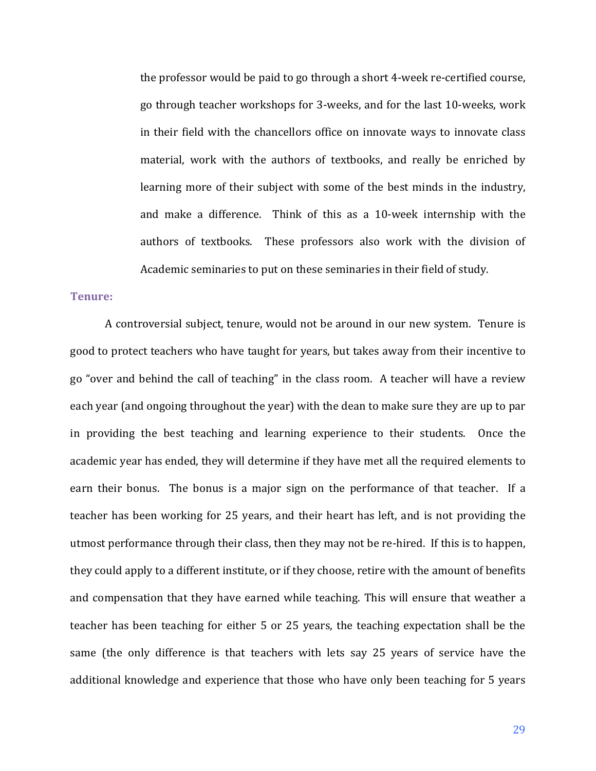the professor would be paid to go through a short 4-week re-certified course, go through teacher workshops for 3-weeks, and for the last 10-weeks, work in their field with the chancellors office on innovate ways to innovate class material, work with the authors of textbooks, and really be enriched by learning more of their subject with some of the best minds in the industry, and make a difference. Think of this as a 10-week internship with the authors of textbooks. These professors also work with the division of Academic seminaries to put on these seminaries in their field of study.

# **Tenure:**

A controversial subject, tenure, would not be around in our new system. Tenure is good to protect teachers who have taught for years, but takes away from their incentive to go "over and behind the call of teaching" in the class room. A teacher will have a review each year (and ongoing throughout the year) with the dean to make sure they are up to par in providing the best teaching and learning experience to their students. Once the academic year has ended, they will determine if they have met all the required elements to earn their bonus. The bonus is a major sign on the performance of that teacher. If a teacher has been working for 25 years, and their heart has left, and is not providing the utmost performance through their class, then they may not be re-hired. If this is to happen, they could apply to a different institute, or if they choose, retire with the amount of benefits and compensation that they have earned while teaching. This will ensure that weather a teacher has been teaching for either 5 or 25 years, the teaching expectation shall be the same (the only difference is that teachers with lets say 25 years of service have the additional knowledge and experience that those who have only been teaching for 5 years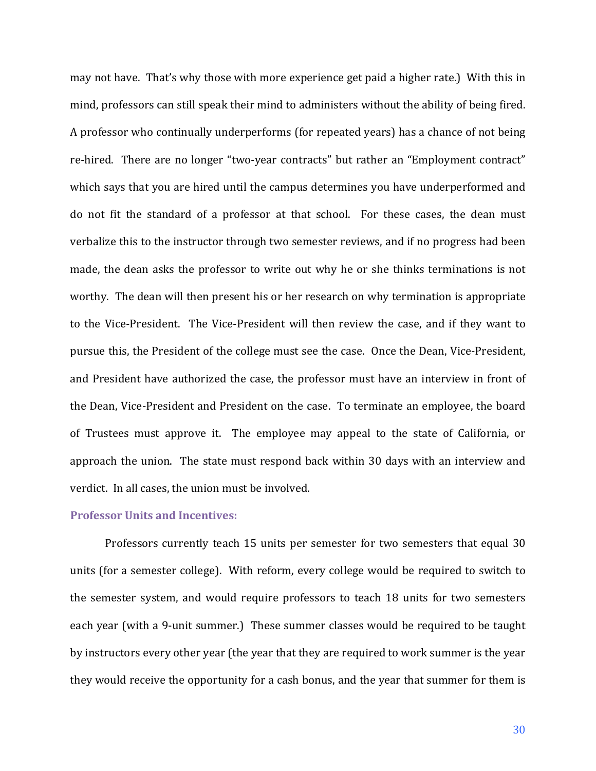may not have. That's why those with more experience get paid a higher rate.) With this in mind, professors can still speak their mind to administers without the ability of being fired. A professor who continually underperforms (for repeated years) has a chance of not being re-hired. There are no longer "two-year contracts" but rather an "Employment contract" which says that you are hired until the campus determines you have underperformed and do not fit the standard of a professor at that school. For these cases, the dean must verbalize this to the instructor through two semester reviews, and if no progress had been made, the dean asks the professor to write out why he or she thinks terminations is not worthy. The dean will then present his or her research on why termination is appropriate to the Vice-President. The Vice-President will then review the case, and if they want to pursue this, the President of the college must see the case. Once the Dean, Vice-President, and President have authorized the case, the professor must have an interview in front of the Dean, Vice-President and President on the case. To terminate an employee, the board of Trustees must approve it. The employee may appeal to the state of California, or approach the union. The state must respond back within 30 days with an interview and verdict. In all cases, the union must be involved.

# **Professor Units and Incentives:**

Professors currently teach 15 units per semester for two semesters that equal 30 units (for a semester college). With reform, every college would be required to switch to the semester system, and would require professors to teach 18 units for two semesters each year (with a 9-unit summer.) These summer classes would be required to be taught by instructors every other year (the year that they are required to work summer is the year they would receive the opportunity for a cash bonus, and the year that summer for them is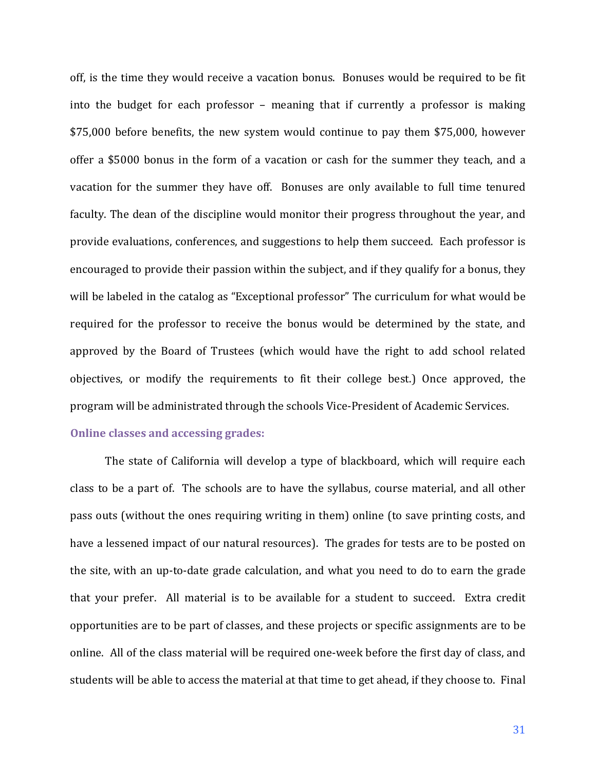off, is the time they would receive a vacation bonus. Bonuses would be required to be fit into the budget for each professor – meaning that if currently a professor is making \$75,000 before benefits, the new system would continue to pay them \$75,000, however offer a \$5000 bonus in the form of a vacation or cash for the summer they teach, and a vacation for the summer they have off. Bonuses are only available to full time tenured faculty. The dean of the discipline would monitor their progress throughout the year, and provide evaluations, conferences, and suggestions to help them succeed. Each professor is encouraged to provide their passion within the subject, and if they qualify for a bonus, they will be labeled in the catalog as "Exceptional professor" The curriculum for what would be required for the professor to receive the bonus would be determined by the state, and approved by the Board of Trustees (which would have the right to add school related objectives, or modify the requirements to fit their college best.) Once approved, the program will be administrated through the schools Vice-President of Academic Services.

# **Online classes and accessing grades:**

The state of California will develop a type of blackboard, which will require each class to be a part of. The schools are to have the syllabus, course material, and all other pass outs (without the ones requiring writing in them) online (to save printing costs, and have a lessened impact of our natural resources). The grades for tests are to be posted on the site, with an up-to-date grade calculation, and what you need to do to earn the grade that your prefer. All material is to be available for a student to succeed. Extra credit opportunities are to be part of classes, and these projects or specific assignments are to be online. All of the class material will be required one-week before the first day of class, and students will be able to access the material at that time to get ahead, if they choose to. Final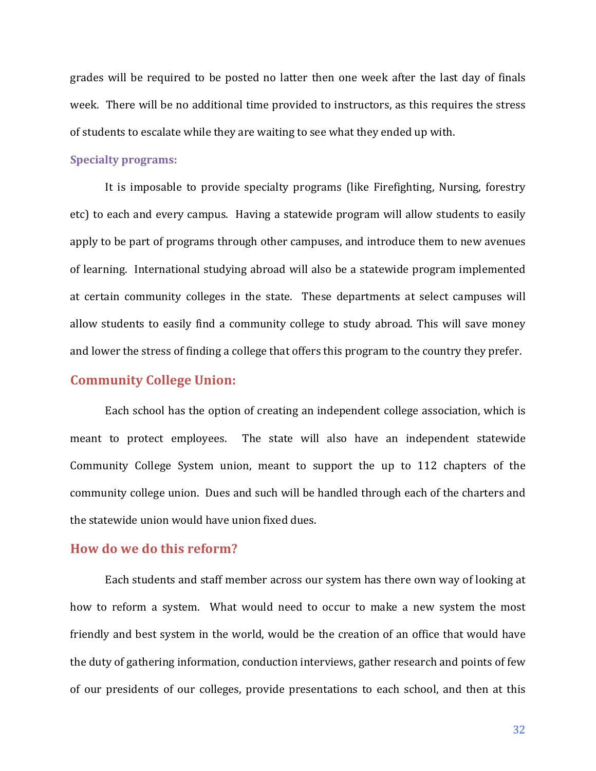grades will be required to be posted no latter then one week after the last day of finals week. There will be no additional time provided to instructors, as this requires the stress of students to escalate while they are waiting to see what they ended up with.

#### **Specialty programs:**

It is imposable to provide specialty programs (like Firefighting, Nursing, forestry etc) to each and every campus. Having a statewide program will allow students to easily apply to be part of programs through other campuses, and introduce them to new avenues of learning. International studying abroad will also be a statewide program implemented at certain community colleges in the state. These departments at select campuses will allow students to easily find a community college to study abroad. This will save money and lower the stress of finding a college that offers this program to the country they prefer.

# **Community College Union:**

Each school has the option of creating an independent college association, which is meant to protect employees. The state will also have an independent statewide Community College System union, meant to support the up to 112 chapters of the community college union. Dues and such will be handled through each of the charters and the statewide union would have union fixed dues.

# **How do we do this reform?**

Each students and staff member across our system has there own way of looking at how to reform a system. What would need to occur to make a new system the most friendly and best system in the world, would be the creation of an office that would have the duty of gathering information, conduction interviews, gather research and points of few of our presidents of our colleges, provide presentations to each school, and then at this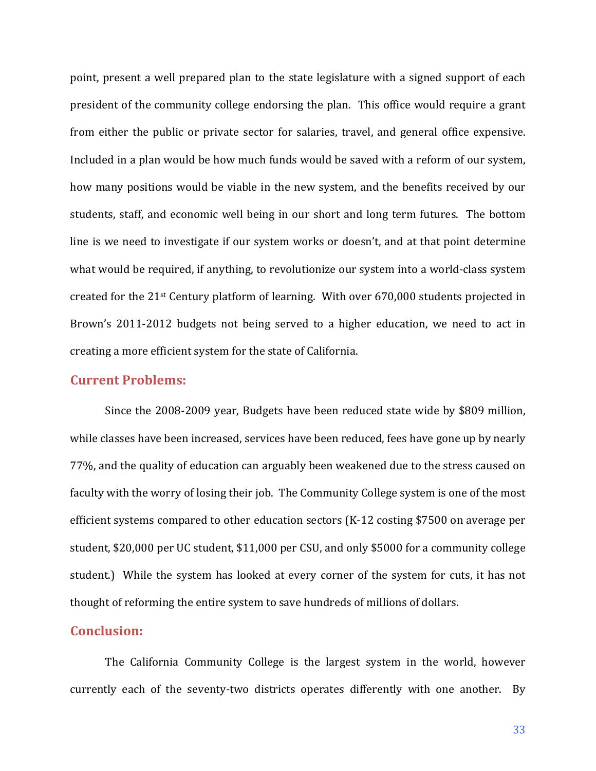point, present a well prepared plan to the state legislature with a signed support of each president of the community college endorsing the plan. This office would require a grant from either the public or private sector for salaries, travel, and general office expensive. Included in a plan would be how much funds would be saved with a reform of our system, how many positions would be viable in the new system, and the benefits received by our students, staff, and economic well being in our short and long term futures. The bottom line is we need to investigate if our system works or doesn't, and at that point determine what would be required, if anything, to revolutionize our system into a world-class system created for the  $21^{st}$  Century platform of learning. With over 670,000 students projected in Brown's 2011-2012 budgets not being served to a higher education, we need to act in creating a more efficient system for the state of California.

# **Current Problems:**

Since the 2008-2009 year, Budgets have been reduced state wide by \$809 million, while classes have been increased, services have been reduced, fees have gone up by nearly 77%, and the quality of education can arguably been weakened due to the stress caused on faculty with the worry of losing their job. The Community College system is one of the most efficient systems compared to other education sectors  $(K-12 \text{ costing $7500 on average per }$ student, \$20,000 per UC student, \$11,000 per CSU, and only \$5000 for a community college student.) While the system has looked at every corner of the system for cuts, it has not thought of reforming the entire system to save hundreds of millions of dollars.

#### **Conclusion:**

The California Community College is the largest system in the world, however currently each of the seventy-two districts operates differently with one another. By